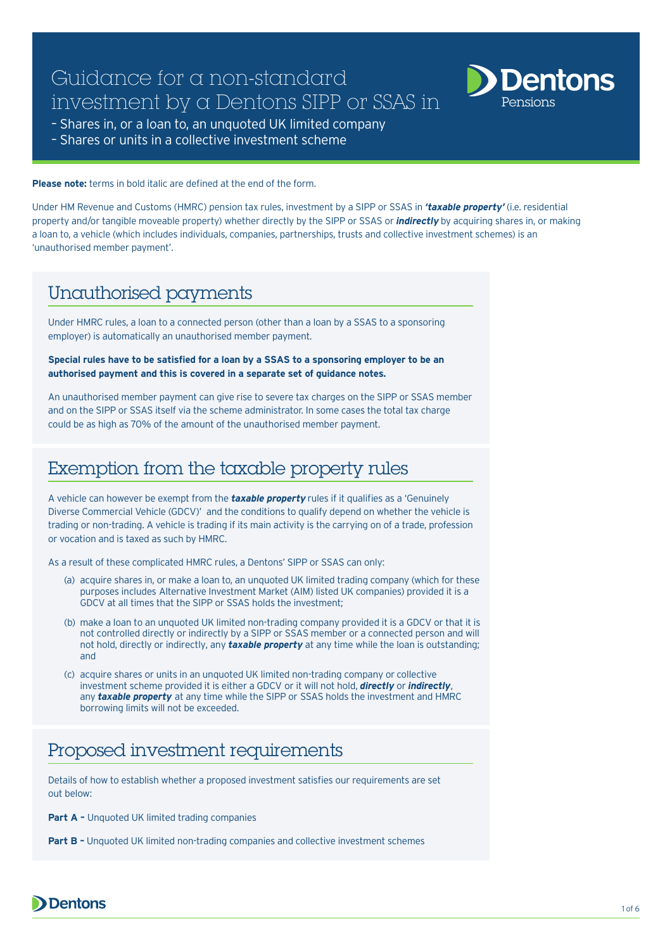# Guidance for a non-standard investment by a Dentons SIPP or SSAS in



- Shares in, or a loan to, an unquoted UK limited company
- Shares or units in a collective investment scheme

**Please note:** terms in bold italic are defined at the end of the form.

Under HM Revenue and Customs (HMRC) pension tax rules, investment by a SIPP or SSAS in **'taxable property'** (i.e. residential property and/or tangible moveable property) whether directly by the SIPP or SSAS or **indirectly** by acquiring shares in, or making a loan to, a vehicle (which includes individuals, companies, partnerships, trusts and collective investment schemes) is an 'unauthorised member payment'.

# Unauthorised payments

Under HMRC rules, a loan to a connected person (other than a loan by a SSAS to a sponsoring employer) is automatically an unauthorised member payment.

#### **Special rules have to be satisfied for a loan by a SSAS to a sponsoring employer to be an authorised payment and this is covered in a separate set of guidance notes.**

An unauthorised member payment can give rise to severe tax charges on the SIPP or SSAS member and on the SIPP or SSAS itself via the scheme administrator. In some cases the total tax charge could be as high as 70% of the amount of the unauthorised member payment.

# Exemption from the taxable property rules

A vehicle can however be exempt from the **taxable property** rules if it qualifies as a 'Genuinely Diverse Commercial Vehicle (GDCV)' and the conditions to qualify depend on whether the vehicle is trading or non-trading. A vehicle is trading if its main activity is the carrying on of a trade, profession or vocation and is taxed as such by HMRC.

As a result of these complicated HMRC rules, a Dentons' SIPP or SSAS can only:

- (a) acquire shares in, or make a loan to, an unquoted UK limited trading company (which for these purposes includes Alternative Investment Market (AIM) listed UK companies) provided it is a GDCV at all times that the SIPP or SSAS holds the investment;
- (b) make a loan to an unquoted UK limited non-trading company provided it is a GDCV or that it is not controlled directly or indirectly by a SIPP or SSAS member or a connected person and will not hold, directly or indirectly, any *taxable property* at any time while the loan is outstanding; and
- (c) acquire shares or units in an unquoted UK limited non-trading company or collective investment scheme provided it is either a GDCV or it will not hold, **directly** or *indirectly*, any *taxable property* at any time while the SIPP or SSAS holds the investment and HMRC borrowing limits will not be exceeded.

# Proposed investment requirements

Details of how to establish whether a proposed investment satisfies our requirements are set out below:

**Part A - Unquoted UK limited trading companies** 

**Part B -** Unquoted UK limited non-trading companies and collective investment schemes

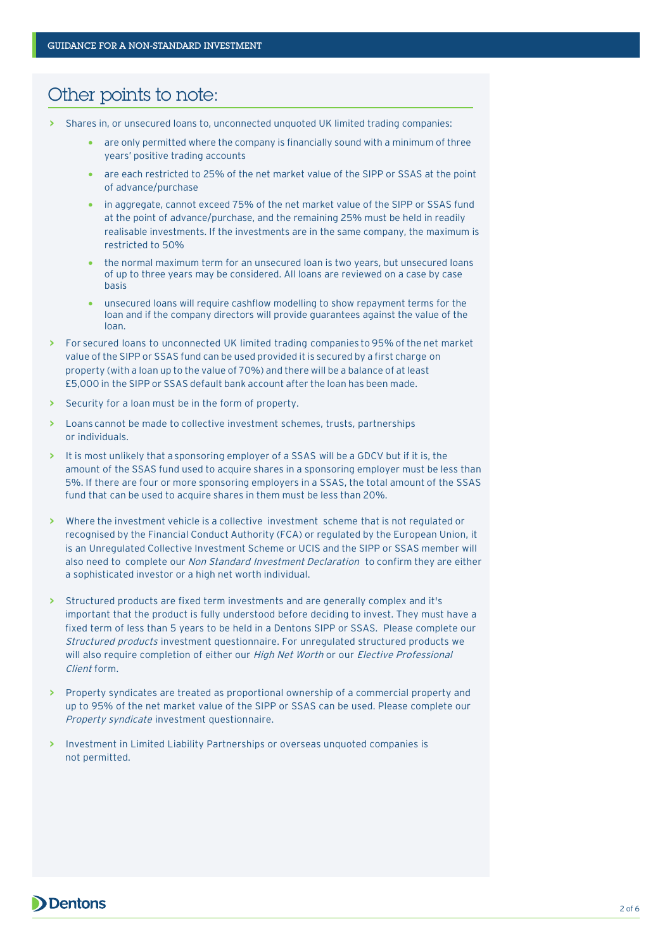## Other points to note:

- **>** Shares in, or unsecured loans to, unconnected unquoted UK limited trading companies:
	- are only permitted where the company is financially sound with a minimum of three years' positive trading accounts
	- are each restricted to 25% of the net market value of the SIPP or SSAS at the point of advance/purchase
	- in aggregate, cannot exceed 75% of the net market value of the SIPP or SSAS fund at the point of advance/purchase, and the remaining 25% must be held in readily realisable investments. If the investments are in the same company, the maximum is restricted to 50%
	- the normal maximum term for an unsecured loan is two years, but unsecured loans of up to three years may be considered. All loans are reviewed on a case by case basis
	- unsecured loans will require cashflow modelling to show repayment terms for the loan and if the company directors will provide guarantees against the value of the loan.
- **>** For secured loans to unconnected UK limited trading companies to 95% of the net market value of the SIPP or SSAS fund can be used provided it is secured by a first charge on property (with a loan up to the value of 70%) and there will be a balance of at least £5,000 in the SIPP or SSAS default bank account after the loan has been made.
- **>** Security for a loan must be in the form of property.
- **>** Loans cannot be made to collective investment schemes, trusts, partnerships or individuals.
- **>** It is most unlikely that a sponsoring employer of a SSAS will be a GDCV but if it is, the amount of the SSAS fund used to acquire shares in a sponsoring employer must be less than 5%. If there are four or more sponsoring employers in a SSAS, the total amount of the SSAS fund that can be used to acquire shares in them must be less than 20%.
- **>** Where the investment vehicle is a collective investment scheme that is not regulated or recognised by the Financial Conduct Authority (FCA) or regulated by the European Union, it is an Unregulated Collective Investment Scheme or UCIS and the SIPP or SSAS member will also need to complete our Non Standard Investment Declaration to confirm they are either a sophisticated investor or a high net worth individual.
- **>** Structured products are fixed term investments and are generally complex and it's important that the product is fully understood before deciding to invest. They must have a fixed term of less than 5 years to be held in a Dentons SIPP or SSAS. Please complete our Structured products investment questionnaire. For unregulated structured products we will also require completion of either our High Net Worth or our Elective Professional Client form
- **>** Property syndicates are treated as proportional ownership of a commercial property and up to 95% of the net market value of the SIPP or SSAS can be used. Please complete our Property syndicate investment questionnaire.
- **>** Investment in Limited Liability Partnerships or overseas unquoted companies is not permitted.

### **D** Dentons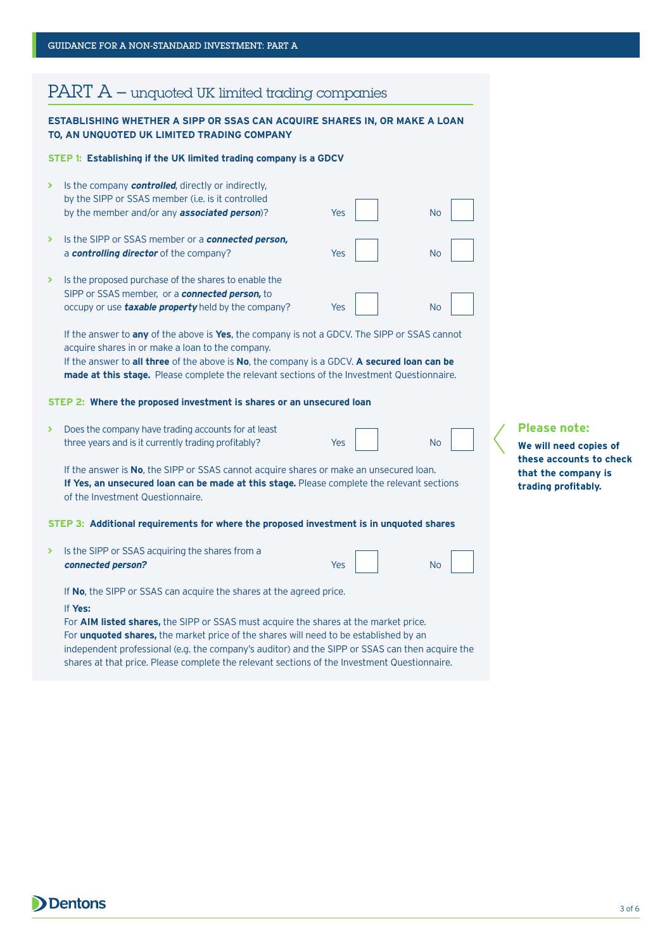## $PART A$  – unquoted UK limited trading companies

#### **ESTABLISHING WHETHER A SIPP OR SSAS CAN ACQUIRE SHARES IN, OR MAKE A LOAN TO, AN UNQUOTED UK LIMITED TRADING COMPANY**

#### **STEP 1: Establishing if the UK limited trading company is a GDCV**

| Is the company <b>controlled</b> , directly or indirectly,<br>by the SIPP or SSAS member ( <i>i.e.</i> is it controlled<br>by the member and/or any <b>associated person</b> )? | Yes | No |
|---------------------------------------------------------------------------------------------------------------------------------------------------------------------------------|-----|----|
| Is the SIPP or SSAS member or a <b>connected person,</b><br>a controlling director of the company?                                                                              | Yes | No |
| Is the proposed purchase of the shares to enable the<br>SIPP or SSAS member, or a connected person, to<br>occupy or use <b>taxable property</b> held by the company?            | Yes | No |

If the answer to **any** of the above is **Yes**, the company is not a GDCV. The SIPP or SSAS cannot acquire shares in or make a loan to the company. If the answer to **all three** of the above is **No**, the company is a GDCV. **A secured loan can be** 

**made at this stage.** Please complete the relevant sections of the Investment Questionnaire.

#### **STEP 2: Where the proposed investment is shares or an unsecured loan**

**>** Does the company have trading accounts for at least three years and is it currently trading profitably?

| Yes | <b>No</b> |
|-----|-----------|
|     |           |

If the answer is **No**, the SIPP or SSAS cannot acquire shares or make an unsecured loan. If Yes, an unsecured loan can be made at this stage. Please complete the relevant sections of the Investment Questionnaire.

#### **STEP 3: Additional requirements for where the proposed investment is in unquoted shares**

**>** Is the SIPP or SSAS acquiring the shares from a **connected person?**

Yes No

If **No**, the SIPP or SSAS can acquire the shares at the agreed price.

#### If **Yes:**

For **AIM listed shares,** the SIPP or SSAS must acquire the shares at the market price. For **unquoted shares,** the market price of the shares will need to be established by an independent professional (e.g. the company's auditor) and the SIPP or SSAS can then acquire the shares at that price. Please complete the relevant sections of the Investment Questionnaire.

#### **Please note:**

**We will need copies of these accounts to check that the company is trading profitably.**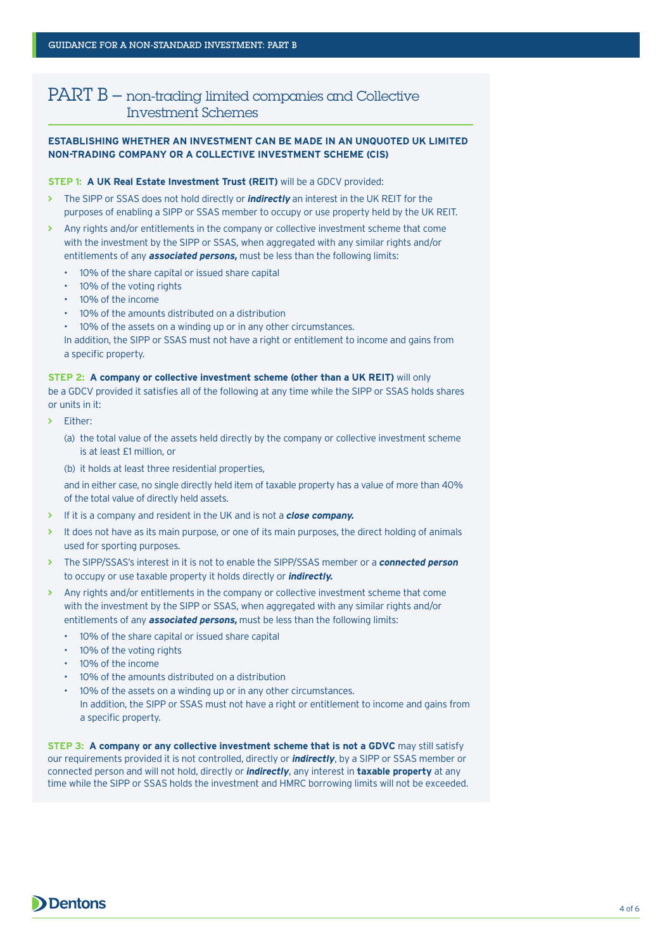## PART B – non-trading limited companies and Collective Investment Schemes

#### **ESTABLISHING WHETHER AN INVESTMENT CAN BE MADE IN AN UNQUOTED UK LIMITED NON-TRADING COMPANY OR A COLLECTIVE INVESTMENT SCHEME (CIS)**

#### **STEP 1: A UK Real Estate Investment Trust (REIT)** will be a GDCV provided:

- **>** The SIPP or SSAS does not hold directly or **indirectly** an interest in the UK REIT for the purposes of enabling a SIPP or SSAS member to occupy or use property held by the UK REIT.
- **>** Any rights and/or entitlements in the company or collective investment scheme that come with the investment by the SIPP or SSAS, when aggregated with any similar rights and/or entitlements of any **associated persons,** must be less than the following limits:
	- 10% of the share capital or issued share capital
	- 10% of the voting rights
	- 10% of the income
	- 10% of the amounts distributed on a distribution
	- 10% of the assets on a winding up or in any other circumstances.

In addition, the SIPP or SSAS must not have a right or entitlement to income and gains from a specific property.

#### **STEP 2: A company or collective investment scheme (other than a UK REIT)** will only

be a GDCV provided it satisfies all of the following at any time while the SIPP or SSAS holds shares or units in it:

- **>** Either:
	- (a) the total value of the assets held directly by the company or collective investment scheme is at least £1 million, or
	- (b) it holds at least three residential properties,

and in either case, no single directly held item of taxable property has a value of more than 40% of the total value of directly held assets.

- **>** If it is a company and resident in the UK and is not a **close company.**
- **>** It does not have as its main purpose, or one of its main purposes, the direct holding of animals used for sporting purposes.
- **>** The SIPP/SSAS's interest in it is not to enable the SIPP/SSAS member or a **connected person** to occupy or use taxable property it holds directly or **indirectly.**
- **>** Any rights and/or entitlements in the company or collective investment scheme that come with the investment by the SIPP or SSAS, when aggregated with any similar rights and/or entitlements of any **associated persons,** must be less than the following limits:
	- 10% of the share capital or issued share capital
	- 10% of the voting rights
	- 10% of the income
	- 10% of the amounts distributed on a distribution
	- 10% of the assets on a winding up or in any other circumstances.
	- In addition, the SIPP or SSAS must not have a right or entitlement to income and gains from a specific property.

**STEP 3: A company or any collective investment scheme that is not a GDVC** may still satisfy our requirements provided it is not controlled, directly or *indirectly*, by a SIPP or SSAS member or connected person and will not hold, directly or *indirectly*, any interest in **taxable property** at any time while the SIPP or SSAS holds the investment and HMRC borrowing limits will not be exceeded.

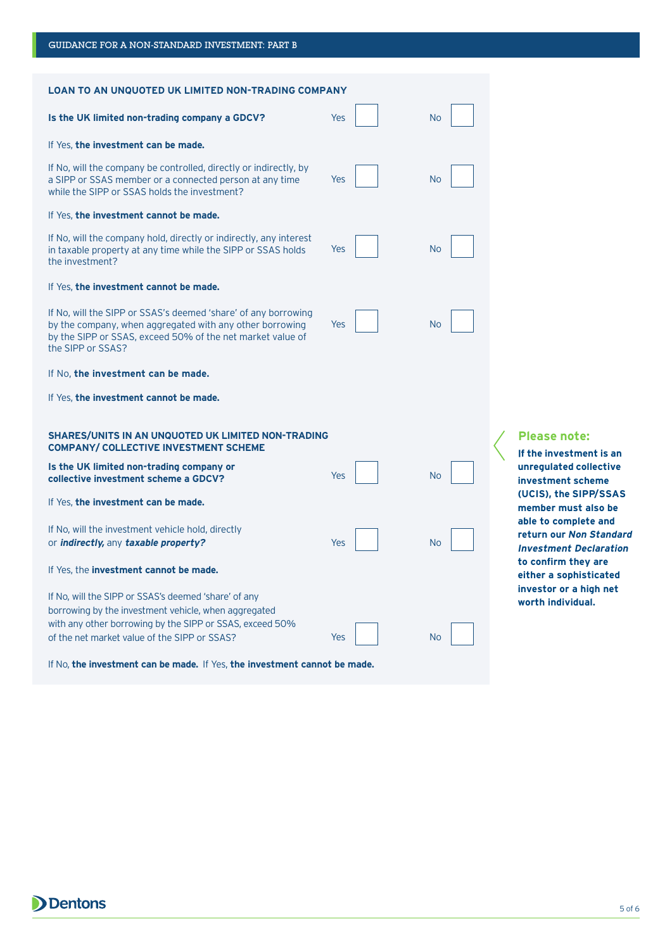| <b>LOAN TO AN UNQUOTED UK LIMITED NON-TRADING COMPANY</b>                                                                                                                                                                |                                                |           |                                                                                  |
|--------------------------------------------------------------------------------------------------------------------------------------------------------------------------------------------------------------------------|------------------------------------------------|-----------|----------------------------------------------------------------------------------|
| Is the UK limited non-trading company a GDCV?                                                                                                                                                                            | Yes                                            | No        |                                                                                  |
| If Yes, the investment can be made.                                                                                                                                                                                      |                                                |           |                                                                                  |
| If No, will the company be controlled, directly or indirectly, by<br>a SIPP or SSAS member or a connected person at any time<br>while the SIPP or SSAS holds the investment?                                             | <b>Yes</b>                                     | <b>No</b> |                                                                                  |
| If Yes, the investment cannot be made.                                                                                                                                                                                   |                                                |           |                                                                                  |
| If No, will the company hold, directly or indirectly, any interest<br>in taxable property at any time while the SIPP or SSAS holds<br>the investment?                                                                    | Yes                                            | <b>No</b> |                                                                                  |
| If Yes, the investment cannot be made.                                                                                                                                                                                   |                                                |           |                                                                                  |
| If No, will the SIPP or SSAS's deemed 'share' of any borrowing<br>by the company, when aggregated with any other borrowing<br>by the SIPP or SSAS, exceed 50% of the net market value of<br>the SIPP or SSAS?            | Yes                                            | No        |                                                                                  |
| If No, the investment can be made.                                                                                                                                                                                       |                                                |           |                                                                                  |
| If Yes, the investment cannot be made.                                                                                                                                                                                   |                                                |           |                                                                                  |
| <b>SHARES/UNITS IN AN UNQUOTED UK LIMITED NON-TRADING</b><br><b>COMPANY/ COLLECTIVE INVESTMENT SCHEME</b>                                                                                                                | <b>Please note:</b><br>If the investment is an |           |                                                                                  |
| Is the UK limited non-trading company or<br>collective investment scheme a GDCV?                                                                                                                                         | Yes                                            | <b>No</b> | unrequiated collective<br>investment scheme                                      |
| If Yes, the investment can be made.                                                                                                                                                                                      |                                                |           | (UCIS), the SIPP/SSAS<br>member must also be                                     |
| If No, will the investment vehicle hold, directly<br>or <i>indirectly</i> , any taxable property?                                                                                                                        | Yes                                            | <b>No</b> | able to complete and<br>return our Non Standard<br><b>Investment Declaration</b> |
| If Yes, the <b>investment cannot be made.</b>                                                                                                                                                                            | to confirm they are<br>either a sophisticated  |           |                                                                                  |
| If No, will the SIPP or SSAS's deemed 'share' of any<br>borrowing by the investment vehicle, when aggregated<br>with any other borrowing by the SIPP or SSAS, exceed 50%<br>of the net market value of the SIPP or SSAS? | Yes                                            | No        | investor or a high net<br>worth individual.                                      |
|                                                                                                                                                                                                                          |                                                |           |                                                                                  |

If No, **the investment can be made.** If Yes, **the investment cannot be made.**

**Dentons** 

GUIDANCE FOR A NON-STANDARD INVESTMENT: PART B

5 of 6